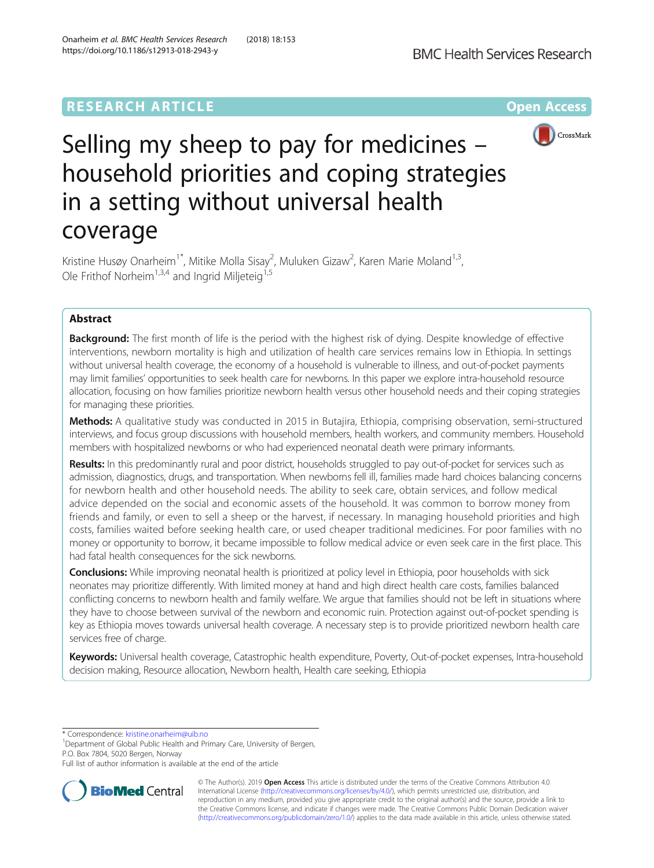## **RESEARCH ARTICLE Example 2018 12:00 Department of the CONNECTION CONNECTION CONNECTION CONNECTION CONNECTION**





# Selling my sheep to pay for medicines – household priorities and coping strategies in a setting without universal health coverage

Kristine Husøy Onarheim<sup>1\*</sup>, Mitike Molla Sisay<sup>2</sup>, Muluken Gizaw<sup>2</sup>, Karen Marie Moland<sup>1,3</sup>, Ole Frithof Norheim<sup>1,3,4</sup> and Ingrid Miljeteig<sup>1,5</sup>

## Abstract

**Background:** The first month of life is the period with the highest risk of dying. Despite knowledge of effective interventions, newborn mortality is high and utilization of health care services remains low in Ethiopia. In settings without universal health coverage, the economy of a household is vulnerable to illness, and out-of-pocket payments may limit families' opportunities to seek health care for newborns. In this paper we explore intra-household resource allocation, focusing on how families prioritize newborn health versus other household needs and their coping strategies for managing these priorities.

Methods: A qualitative study was conducted in 2015 in Butajira, Ethiopia, comprising observation, semi-structured interviews, and focus group discussions with household members, health workers, and community members. Household members with hospitalized newborns or who had experienced neonatal death were primary informants.

Results: In this predominantly rural and poor district, households struggled to pay out-of-pocket for services such as admission, diagnostics, drugs, and transportation. When newborns fell ill, families made hard choices balancing concerns for newborn health and other household needs. The ability to seek care, obtain services, and follow medical advice depended on the social and economic assets of the household. It was common to borrow money from friends and family, or even to sell a sheep or the harvest, if necessary. In managing household priorities and high costs, families waited before seeking health care, or used cheaper traditional medicines. For poor families with no money or opportunity to borrow, it became impossible to follow medical advice or even seek care in the first place. This had fatal health consequences for the sick newborns.

Conclusions: While improving neonatal health is prioritized at policy level in Ethiopia, poor households with sick neonates may prioritize differently. With limited money at hand and high direct health care costs, families balanced conflicting concerns to newborn health and family welfare. We argue that families should not be left in situations where they have to choose between survival of the newborn and economic ruin. Protection against out-of-pocket spending is key as Ethiopia moves towards universal health coverage. A necessary step is to provide prioritized newborn health care services free of charge.

Keywords: Universal health coverage, Catastrophic health expenditure, Poverty, Out-of-pocket expenses, Intra-household decision making, Resource allocation, Newborn health, Health care seeking, Ethiopia

\* Correspondence: [kristine.onarheim@uib.no](mailto:kristine.onarheim@uib.no) <sup>1</sup>

<sup>1</sup>Department of Global Public Health and Primary Care, University of Bergen, P.O. Box 7804, 5020 Bergen, Norway

Full list of author information is available at the end of the article



© The Author(s). 2019 **Open Access** This article is distributed under the terms of the Creative Commons Attribution 4.0 International License [\(http://creativecommons.org/licenses/by/4.0/](http://creativecommons.org/licenses/by/4.0/)), which permits unrestricted use, distribution, and reproduction in any medium, provided you give appropriate credit to the original author(s) and the source, provide a link to the Creative Commons license, and indicate if changes were made. The Creative Commons Public Domain Dedication waiver [\(http://creativecommons.org/publicdomain/zero/1.0/](http://creativecommons.org/publicdomain/zero/1.0/)) applies to the data made available in this article, unless otherwise stated.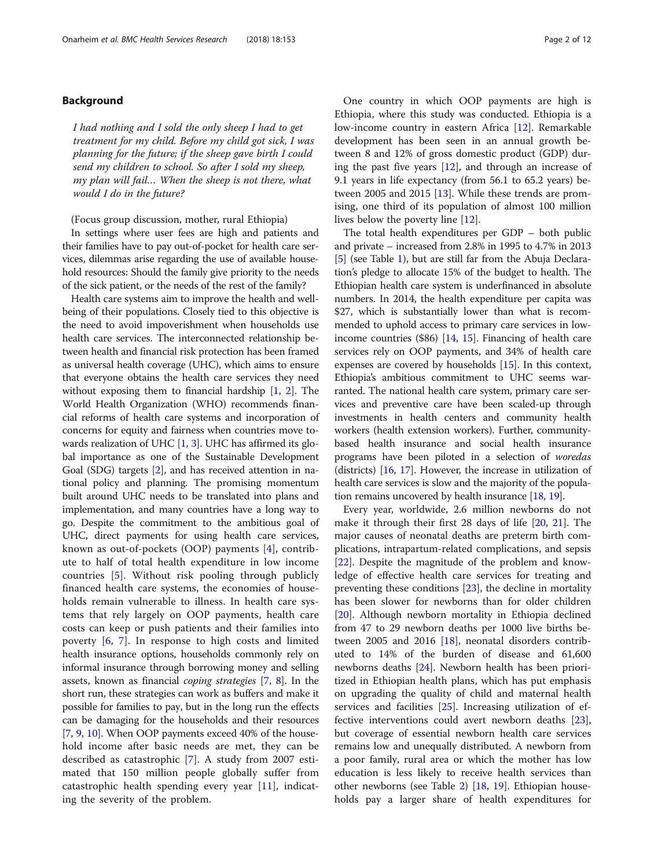## **Background**

I had nothing and I sold the only sheep I had to get treatment for my child. Before my child got sick, I was planning for the future; if the sheep gave birth I could send my children to school. So after I sold my sheep, my plan will fail… When the sheep is not there, what would I do in the future?

(Focus group discussion, mother, rural Ethiopia)

In settings where user fees are high and patients and their families have to pay out-of-pocket for health care services, dilemmas arise regarding the use of available household resources: Should the family give priority to the needs of the sick patient, or the needs of the rest of the family?

Health care systems aim to improve the health and wellbeing of their populations. Closely tied to this objective is the need to avoid impoverishment when households use health care services. The interconnected relationship between health and financial risk protection has been framed as universal health coverage (UHC), which aims to ensure that everyone obtains the health care services they need without exposing them to financial hardship  $[1, 2]$  $[1, 2]$  $[1, 2]$  $[1, 2]$ . The World Health Organization (WHO) recommends financial reforms of health care systems and incorporation of concerns for equity and fairness when countries move towards realization of UHC  $[1, 3]$  $[1, 3]$  $[1, 3]$  $[1, 3]$ . UHC has affirmed its global importance as one of the Sustainable Development Goal (SDG) targets [\[2](#page-10-0)], and has received attention in national policy and planning. The promising momentum built around UHC needs to be translated into plans and implementation, and many countries have a long way to go. Despite the commitment to the ambitious goal of UHC, direct payments for using health care services, known as out-of-pockets (OOP) payments [[4\]](#page-10-0), contribute to half of total health expenditure in low income countries [\[5](#page-10-0)]. Without risk pooling through publicly financed health care systems, the economies of households remain vulnerable to illness. In health care systems that rely largely on OOP payments, health care costs can keep or push patients and their families into poverty [[6,](#page-10-0) [7](#page-10-0)]. In response to high costs and limited health insurance options, households commonly rely on informal insurance through borrowing money and selling assets, known as financial coping strategies [\[7](#page-10-0), [8](#page-10-0)]. In the short run, these strategies can work as buffers and make it possible for families to pay, but in the long run the effects can be damaging for the households and their resources [[7,](#page-10-0) [9](#page-10-0), [10\]](#page-10-0). When OOP payments exceed 40% of the household income after basic needs are met, they can be described as catastrophic [\[7](#page-10-0)]. A study from 2007 estimated that 150 million people globally suffer from catastrophic health spending every year [\[11](#page-10-0)], indicating the severity of the problem.

One country in which OOP payments are high is Ethiopia, where this study was conducted. Ethiopia is a low-income country in eastern Africa [\[12\]](#page-10-0). Remarkable development has been seen in an annual growth between 8 and 12% of gross domestic product (GDP) during the past five years  $[12]$  $[12]$ , and through an increase of 9.1 years in life expectancy (from 56.1 to 65.2 years) between 2005 and 2015 [[13](#page-10-0)]. While these trends are promising, one third of its population of almost 100 million lives below the poverty line [[12\]](#page-10-0).

The total health expenditures per GDP – both public and private – increased from 2.8% in 1995 to 4.7% in 2013 [[5\]](#page-10-0) (see Table [1\)](#page-2-0), but are still far from the Abuja Declaration's pledge to allocate 15% of the budget to health. The Ethiopian health care system is underfinanced in absolute numbers. In 2014, the health expenditure per capita was \$27, which is substantially lower than what is recommended to uphold access to primary care services in lowincome countries (\$86) [[14](#page-10-0), [15\]](#page-10-0). Financing of health care services rely on OOP payments, and 34% of health care expenses are covered by households [\[15\]](#page-10-0). In this context, Ethiopia's ambitious commitment to UHC seems warranted. The national health care system, primary care services and preventive care have been scaled-up through investments in health centers and community health workers (health extension workers). Further, communitybased health insurance and social health insurance programs have been piloted in a selection of woredas (districts)  $[16, 17]$  $[16, 17]$  $[16, 17]$ . However, the increase in utilization of health care services is slow and the majority of the population remains uncovered by health insurance [[18](#page-10-0), [19](#page-10-0)].

Every year, worldwide, 2.6 million newborns do not make it through their first 28 days of life [\[20](#page-10-0), [21](#page-10-0)]. The major causes of neonatal deaths are preterm birth complications, intrapartum-related complications, and sepsis [[22\]](#page-10-0). Despite the magnitude of the problem and knowledge of effective health care services for treating and preventing these conditions [\[23](#page-10-0)], the decline in mortality has been slower for newborns than for older children [[20\]](#page-10-0). Although newborn mortality in Ethiopia declined from 47 to 29 newborn deaths per 1000 live births between 2005 and 2016 [[18](#page-10-0)], neonatal disorders contributed to 14% of the burden of disease and 61,600 newborns deaths [[24](#page-11-0)]. Newborn health has been prioritized in Ethiopian health plans, which has put emphasis on upgrading the quality of child and maternal health services and facilities [\[25](#page-11-0)]. Increasing utilization of effective interventions could avert newborn deaths [\[23](#page-10-0)], but coverage of essential newborn health care services remains low and unequally distributed. A newborn from a poor family, rural area or which the mother has low education is less likely to receive health services than other newborns (see Table [2](#page-2-0)) [\[18](#page-10-0), [19\]](#page-10-0). Ethiopian households pay a larger share of health expenditures for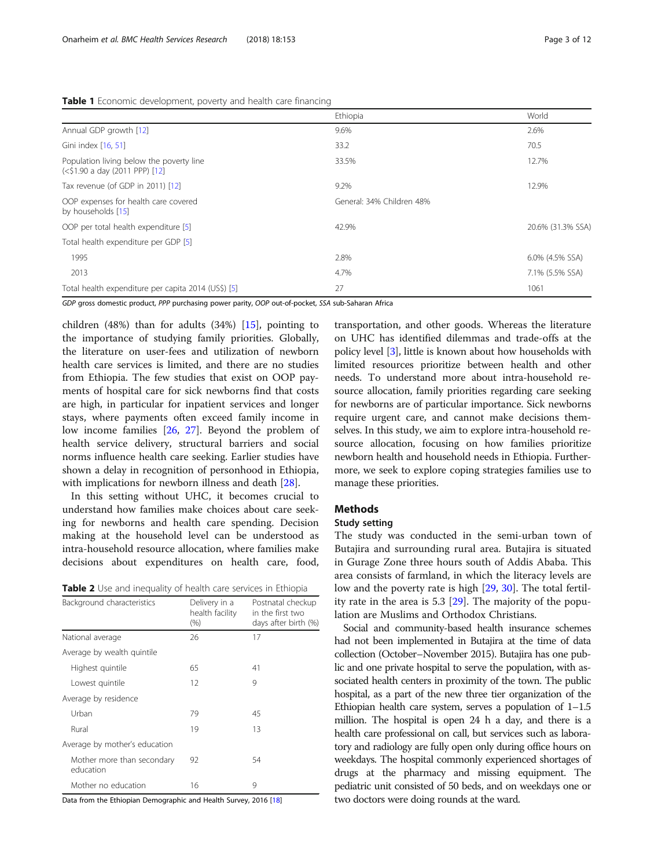|                                                                            | Ethiopia                  | World             |
|----------------------------------------------------------------------------|---------------------------|-------------------|
| Annual GDP growth [12]                                                     | 9.6%                      | 2.6%              |
| Gini index [16, 51]                                                        | 33.2                      | 70.5              |
| Population living below the poverty line<br>(<\$1.90 a day (2011 PPP) [12] | 33.5%                     | 12.7%             |
| Tax revenue (of GDP in 2011) [12]                                          | 9.2%                      | 12.9%             |
| OOP expenses for health care covered<br>by households [15]                 | General: 34% Children 48% |                   |
| OOP per total health expenditure [5]                                       | 42.9%                     | 20.6% (31.3% SSA) |
| Total health expenditure per GDP [5]                                       |                           |                   |
| 1995                                                                       | 2.8%                      | 6.0% (4.5% SSA)   |
| 2013                                                                       | 4.7%                      | 7.1% (5.5% SSA)   |
| Total health expenditure per capita 2014 (US\$) [5]                        | 27                        | 1061              |

<span id="page-2-0"></span>Table 1 Economic development, poverty and health care financing

GDP gross domestic product, PPP purchasing power parity, OOP out-of-pocket, SSA sub-Saharan Africa

children (48%) than for adults (34%) [\[15](#page-10-0)], pointing to the importance of studying family priorities. Globally, the literature on user-fees and utilization of newborn health care services is limited, and there are no studies from Ethiopia. The few studies that exist on OOP payments of hospital care for sick newborns find that costs are high, in particular for inpatient services and longer stays, where payments often exceed family income in low income families [[26](#page-11-0), [27\]](#page-11-0). Beyond the problem of health service delivery, structural barriers and social norms influence health care seeking. Earlier studies have shown a delay in recognition of personhood in Ethiopia, with implications for newborn illness and death [\[28](#page-11-0)].

In this setting without UHC, it becomes crucial to understand how families make choices about care seeking for newborns and health care spending. Decision making at the household level can be understood as intra-household resource allocation, where families make decisions about expenditures on health care, food,

| Table 2 Use and inequality of health care services in Ethiopia |  |  |
|----------------------------------------------------------------|--|--|
|----------------------------------------------------------------|--|--|

| Background characteristics              | Delivery in a<br>health facility<br>(% ) | Postnatal checkup<br>in the first two<br>days after birth (%) |
|-----------------------------------------|------------------------------------------|---------------------------------------------------------------|
| National average                        | 26                                       | 17                                                            |
| Average by wealth quintile              |                                          |                                                               |
| Highest quintile                        | 65                                       | 41                                                            |
| Lowest quintile                         | 12                                       | 9                                                             |
| Average by residence                    |                                          |                                                               |
| Urban                                   | 79                                       | 45                                                            |
| Rural                                   | 19                                       | 13                                                            |
| Average by mother's education           |                                          |                                                               |
| Mother more than secondary<br>education | 92                                       | 54                                                            |
| Mother no education                     | 16                                       | 9                                                             |

Data from the Ethiopian Demographic and Health Survey, 2016 [[18](#page-10-0)]

transportation, and other goods. Whereas the literature on UHC has identified dilemmas and trade-offs at the policy level [\[3](#page-10-0)], little is known about how households with limited resources prioritize between health and other needs. To understand more about intra-household resource allocation, family priorities regarding care seeking for newborns are of particular importance. Sick newborns require urgent care, and cannot make decisions themselves. In this study, we aim to explore intra-household resource allocation, focusing on how families prioritize newborn health and household needs in Ethiopia. Furthermore, we seek to explore coping strategies families use to manage these priorities.

## Methods

## Study setting

The study was conducted in the semi-urban town of Butajira and surrounding rural area. Butajira is situated in Gurage Zone three hours south of Addis Ababa. This area consists of farmland, in which the literacy levels are low and the poverty rate is high [[29,](#page-11-0) [30\]](#page-11-0). The total fertility rate in the area is 5.3 [\[29\]](#page-11-0). The majority of the population are Muslims and Orthodox Christians.

Social and community-based health insurance schemes had not been implemented in Butajira at the time of data collection (October–November 2015). Butajira has one public and one private hospital to serve the population, with associated health centers in proximity of the town. The public hospital, as a part of the new three tier organization of the Ethiopian health care system, serves a population of 1–1.5 million. The hospital is open 24 h a day, and there is a health care professional on call, but services such as laboratory and radiology are fully open only during office hours on weekdays. The hospital commonly experienced shortages of drugs at the pharmacy and missing equipment. The pediatric unit consisted of 50 beds, and on weekdays one or two doctors were doing rounds at the ward.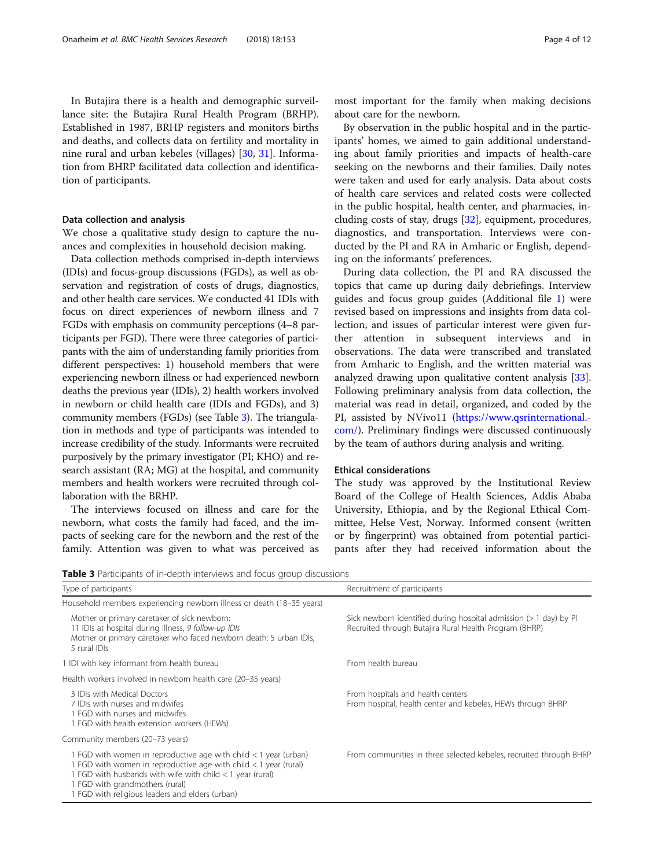In Butajira there is a health and demographic surveillance site: the Butajira Rural Health Program (BRHP). Established in 1987, BRHP registers and monitors births and deaths, and collects data on fertility and mortality in nine rural and urban kebeles (villages) [[30](#page-11-0), [31\]](#page-11-0). Information from BHRP facilitated data collection and identification of participants.

#### Data collection and analysis

We chose a qualitative study design to capture the nuances and complexities in household decision making.

Data collection methods comprised in-depth interviews (IDIs) and focus-group discussions (FGDs), as well as observation and registration of costs of drugs, diagnostics, and other health care services. We conducted 41 IDIs with focus on direct experiences of newborn illness and 7 FGDs with emphasis on community perceptions (4–8 participants per FGD). There were three categories of participants with the aim of understanding family priorities from different perspectives: 1) household members that were experiencing newborn illness or had experienced newborn deaths the previous year (IDIs), 2) health workers involved in newborn or child health care (IDIs and FGDs), and 3) community members (FGDs) (see Table 3). The triangulation in methods and type of participants was intended to increase credibility of the study. Informants were recruited purposively by the primary investigator (PI; KHO) and research assistant (RA; MG) at the hospital, and community members and health workers were recruited through collaboration with the BRHP.

The interviews focused on illness and care for the newborn, what costs the family had faced, and the impacts of seeking care for the newborn and the rest of the family. Attention was given to what was perceived as

most important for the family when making decisions about care for the newborn.

By observation in the public hospital and in the participants' homes, we aimed to gain additional understanding about family priorities and impacts of health-care seeking on the newborns and their families. Daily notes were taken and used for early analysis. Data about costs of health care services and related costs were collected in the public hospital, health center, and pharmacies, including costs of stay, drugs [\[32](#page-11-0)], equipment, procedures, diagnostics, and transportation. Interviews were conducted by the PI and RA in Amharic or English, depending on the informants' preferences.

During data collection, the PI and RA discussed the topics that came up during daily debriefings. Interview guides and focus group guides (Additional file [1\)](#page-10-0) were revised based on impressions and insights from data collection, and issues of particular interest were given further attention in subsequent interviews and in observations. The data were transcribed and translated from Amharic to English, and the written material was analyzed drawing upon qualitative content analysis [\[33](#page-11-0)]. Following preliminary analysis from data collection, the material was read in detail, organized, and coded by the PI, assisted by NVivo11 [\(https://www.qsrinternational.](https://www.qsrinternational.com/) [com/\)](https://www.qsrinternational.com/). Preliminary findings were discussed continuously by the team of authors during analysis and writing.

## Ethical considerations

The study was approved by the Institutional Review Board of the College of Health Sciences, Addis Ababa University, Ethiopia, and by the Regional Ethical Committee, Helse Vest, Norway. Informed consent (written or by fingerprint) was obtained from potential participants after they had received information about the

Table 3 Participants of in-depth interviews and focus group discussions

| <b>TWAIL 3</b> I dititivality of its acptiration of victory and tocay group also as                                                                                                                                                                                                           |                                                                                                                              |  |
|-----------------------------------------------------------------------------------------------------------------------------------------------------------------------------------------------------------------------------------------------------------------------------------------------|------------------------------------------------------------------------------------------------------------------------------|--|
| Type of participants                                                                                                                                                                                                                                                                          | Recruitment of participants                                                                                                  |  |
| Household members experiencing newborn illness or death (18–35 years)                                                                                                                                                                                                                         |                                                                                                                              |  |
| Mother or primary caretaker of sick newborn:<br>11 IDIs at hospital during illness, 9 follow-up IDIs<br>Mother or primary caretaker who faced newborn death: 5 urban IDIs,<br>5 rural IDIs                                                                                                    | Sick newborn identified during hospital admission $(>1$ day) by PI<br>Recruited through Butajira Rural Health Program (BHRP) |  |
| 1 IDI with key informant from health bureau                                                                                                                                                                                                                                                   | From health bureau                                                                                                           |  |
| Health workers involved in newborn health care (20-35 years)                                                                                                                                                                                                                                  |                                                                                                                              |  |
| 3 IDIs with Medical Doctors<br>7 IDIs with nurses and midwifes<br>1 FGD with nurses and midwifes<br>1 FGD with health extension workers (HEWs)                                                                                                                                                | From hospitals and health centers<br>From hospital, health center and kebeles, HEWs through BHRP                             |  |
| Community members (20-73 years)                                                                                                                                                                                                                                                               |                                                                                                                              |  |
| 1 FGD with women in reproductive age with child $<$ 1 year (urban)<br>1 FGD with women in reproductive age with child $<$ 1 year (rural)<br>1 FGD with husbands with wife with child $<$ 1 year (rural)<br>1 FGD with grandmothers (rural)<br>1 FGD with religious leaders and elders (urban) | From communities in three selected kebeles, recruited through BHRP                                                           |  |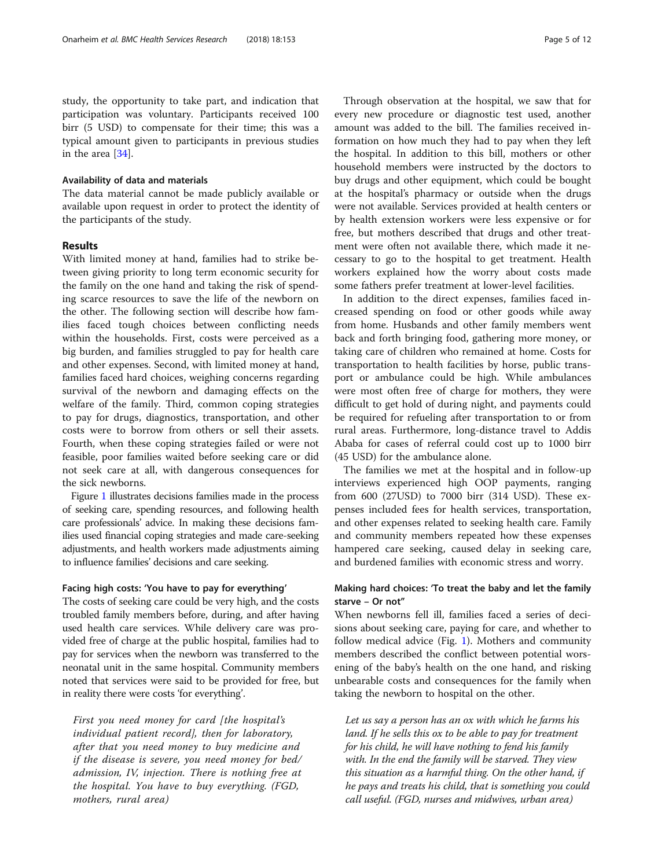study, the opportunity to take part, and indication that participation was voluntary. Participants received 100 birr (5 USD) to compensate for their time; this was a typical amount given to participants in previous studies in the area [\[34](#page-11-0)].

## Availability of data and materials

The data material cannot be made publicly available or available upon request in order to protect the identity of the participants of the study.

## Results

With limited money at hand, families had to strike between giving priority to long term economic security for the family on the one hand and taking the risk of spending scarce resources to save the life of the newborn on the other. The following section will describe how families faced tough choices between conflicting needs within the households. First, costs were perceived as a big burden, and families struggled to pay for health care and other expenses. Second, with limited money at hand, families faced hard choices, weighing concerns regarding survival of the newborn and damaging effects on the welfare of the family. Third, common coping strategies to pay for drugs, diagnostics, transportation, and other costs were to borrow from others or sell their assets. Fourth, when these coping strategies failed or were not feasible, poor families waited before seeking care or did not seek care at all, with dangerous consequences for the sick newborns.

Figure [1](#page-5-0) illustrates decisions families made in the process of seeking care, spending resources, and following health care professionals' advice. In making these decisions families used financial coping strategies and made care-seeking adjustments, and health workers made adjustments aiming to influence families' decisions and care seeking.

#### Facing high costs: 'You have to pay for everything'

The costs of seeking care could be very high, and the costs troubled family members before, during, and after having used health care services. While delivery care was provided free of charge at the public hospital, families had to pay for services when the newborn was transferred to the neonatal unit in the same hospital. Community members noted that services were said to be provided for free, but in reality there were costs 'for everything'.

First you need money for card [the hospital's individual patient record], then for laboratory, after that you need money to buy medicine and if the disease is severe, you need money for bed/ admission, IV, injection. There is nothing free at the hospital. You have to buy everything. (FGD, mothers, rural area)

Through observation at the hospital, we saw that for every new procedure or diagnostic test used, another amount was added to the bill. The families received information on how much they had to pay when they left the hospital. In addition to this bill, mothers or other household members were instructed by the doctors to buy drugs and other equipment, which could be bought at the hospital's pharmacy or outside when the drugs were not available. Services provided at health centers or by health extension workers were less expensive or for free, but mothers described that drugs and other treatment were often not available there, which made it necessary to go to the hospital to get treatment. Health workers explained how the worry about costs made some fathers prefer treatment at lower-level facilities.

In addition to the direct expenses, families faced increased spending on food or other goods while away from home. Husbands and other family members went back and forth bringing food, gathering more money, or taking care of children who remained at home. Costs for transportation to health facilities by horse, public transport or ambulance could be high. While ambulances were most often free of charge for mothers, they were difficult to get hold of during night, and payments could be required for refueling after transportation to or from rural areas. Furthermore, long-distance travel to Addis Ababa for cases of referral could cost up to 1000 birr (45 USD) for the ambulance alone.

The families we met at the hospital and in follow-up interviews experienced high OOP payments, ranging from 600 (27USD) to 7000 birr (314 USD). These expenses included fees for health services, transportation, and other expenses related to seeking health care. Family and community members repeated how these expenses hampered care seeking, caused delay in seeking care, and burdened families with economic stress and worry.

## Making hard choices: 'To treat the baby and let the family starve – Or not"

When newborns fell ill, families faced a series of decisions about seeking care, paying for care, and whether to follow medical advice (Fig. [1](#page-5-0)). Mothers and community members described the conflict between potential worsening of the baby's health on the one hand, and risking unbearable costs and consequences for the family when taking the newborn to hospital on the other.

Let us say a person has an ox with which he farms his land. If he sells this ox to be able to pay for treatment for his child, he will have nothing to fend his family with. In the end the family will be starved. They view this situation as a harmful thing. On the other hand, if he pays and treats his child, that is something you could call useful. (FGD, nurses and midwives, urban area)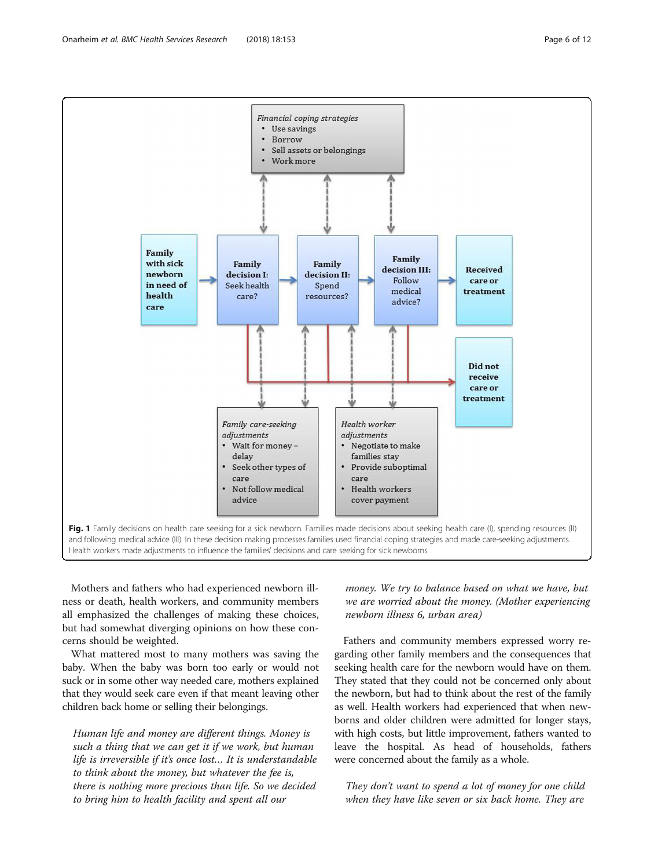<span id="page-5-0"></span>Onarheim et al. BMC Health Services Research (2018) 18:153 Page 6 of 12



Mothers and fathers who had experienced newborn illness or death, health workers, and community members all emphasized the challenges of making these choices, but had somewhat diverging opinions on how these concerns should be weighted.

What mattered most to many mothers was saving the baby. When the baby was born too early or would not suck or in some other way needed care, mothers explained that they would seek care even if that meant leaving other children back home or selling their belongings.

Human life and money are different things. Money is such a thing that we can get it if we work, but human life is irreversible if it's once lost… It is understandable to think about the money, but whatever the fee is, there is nothing more precious than life. So we decided to bring him to health facility and spent all our

money. We try to balance based on what we have, but we are worried about the money. (Mother experiencing newborn illness 6, urban area)

Fathers and community members expressed worry regarding other family members and the consequences that seeking health care for the newborn would have on them. They stated that they could not be concerned only about the newborn, but had to think about the rest of the family as well. Health workers had experienced that when newborns and older children were admitted for longer stays, with high costs, but little improvement, fathers wanted to leave the hospital. As head of households, fathers were concerned about the family as a whole.

They don't want to spend a lot of money for one child when they have like seven or six back home. They are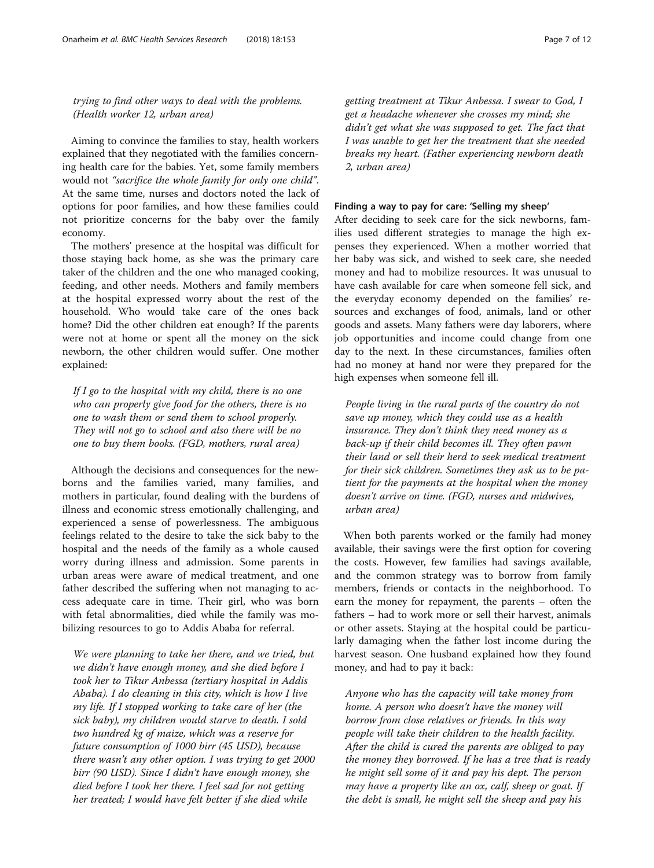trying to find other ways to deal with the problems. (Health worker 12, urban area)

Aiming to convince the families to stay, health workers explained that they negotiated with the families concerning health care for the babies. Yet, some family members would not "sacrifice the whole family for only one child". At the same time, nurses and doctors noted the lack of options for poor families, and how these families could not prioritize concerns for the baby over the family economy.

The mothers' presence at the hospital was difficult for those staying back home, as she was the primary care taker of the children and the one who managed cooking, feeding, and other needs. Mothers and family members at the hospital expressed worry about the rest of the household. Who would take care of the ones back home? Did the other children eat enough? If the parents were not at home or spent all the money on the sick newborn, the other children would suffer. One mother explained:

If I go to the hospital with my child, there is no one who can properly give food for the others, there is no one to wash them or send them to school properly. They will not go to school and also there will be no one to buy them books. (FGD, mothers, rural area)

Although the decisions and consequences for the newborns and the families varied, many families, and mothers in particular, found dealing with the burdens of illness and economic stress emotionally challenging, and experienced a sense of powerlessness. The ambiguous feelings related to the desire to take the sick baby to the hospital and the needs of the family as a whole caused worry during illness and admission. Some parents in urban areas were aware of medical treatment, and one father described the suffering when not managing to access adequate care in time. Their girl, who was born with fetal abnormalities, died while the family was mobilizing resources to go to Addis Ababa for referral.

We were planning to take her there, and we tried, but we didn't have enough money, and she died before I took her to Tikur Anbessa (tertiary hospital in Addis Ababa). I do cleaning in this city, which is how I live my life. If I stopped working to take care of her (the sick baby), my children would starve to death. I sold two hundred kg of maize, which was a reserve for future consumption of 1000 birr (45 USD), because there wasn't any other option. I was trying to get 2000 birr (90 USD). Since I didn't have enough money, she died before I took her there. I feel sad for not getting her treated; I would have felt better if she died while

#### Finding a way to pay for care: 'Selling my sheep'

After deciding to seek care for the sick newborns, families used different strategies to manage the high expenses they experienced. When a mother worried that her baby was sick, and wished to seek care, she needed money and had to mobilize resources. It was unusual to have cash available for care when someone fell sick, and the everyday economy depended on the families' resources and exchanges of food, animals, land or other goods and assets. Many fathers were day laborers, where job opportunities and income could change from one day to the next. In these circumstances, families often had no money at hand nor were they prepared for the high expenses when someone fell ill.

People living in the rural parts of the country do not save up money, which they could use as a health insurance. They don't think they need money as a back-up if their child becomes ill. They often pawn their land or sell their herd to seek medical treatment for their sick children. Sometimes they ask us to be patient for the payments at the hospital when the money doesn't arrive on time. (FGD, nurses and midwives, urban area)

When both parents worked or the family had money available, their savings were the first option for covering the costs. However, few families had savings available, and the common strategy was to borrow from family members, friends or contacts in the neighborhood. To earn the money for repayment, the parents – often the fathers – had to work more or sell their harvest, animals or other assets. Staying at the hospital could be particularly damaging when the father lost income during the harvest season. One husband explained how they found money, and had to pay it back:

Anyone who has the capacity will take money from home. A person who doesn't have the money will borrow from close relatives or friends. In this way people will take their children to the health facility. After the child is cured the parents are obliged to pay the money they borrowed. If he has a tree that is ready he might sell some of it and pay his dept. The person may have a property like an ox, calf, sheep or goat. If the debt is small, he might sell the sheep and pay his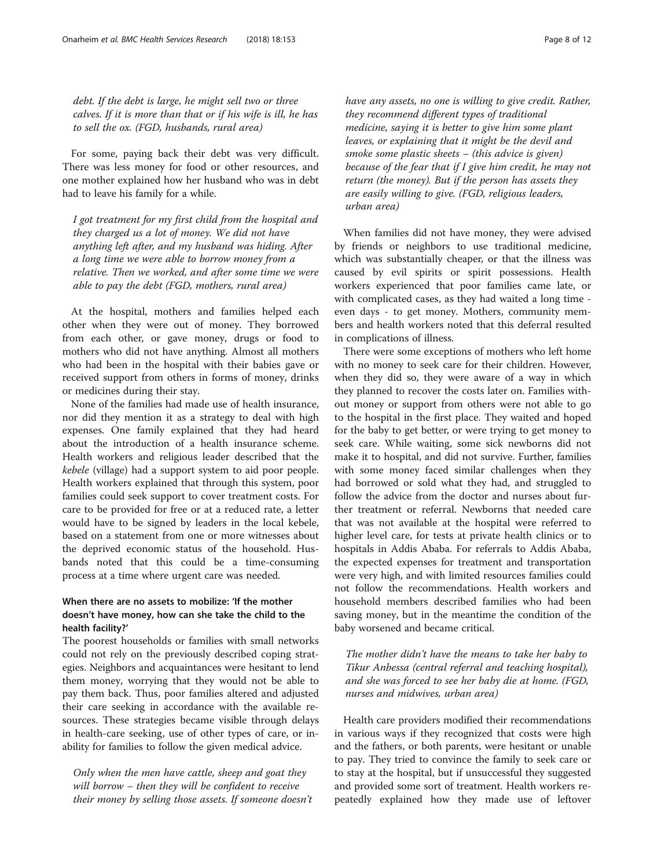debt. If the debt is large, he might sell two or three calves. If it is more than that or if his wife is ill, he has to sell the ox. (FGD, husbands, rural area)

For some, paying back their debt was very difficult. There was less money for food or other resources, and one mother explained how her husband who was in debt had to leave his family for a while.

I got treatment for my first child from the hospital and they charged us a lot of money. We did not have anything left after, and my husband was hiding. After a long time we were able to borrow money from a relative. Then we worked, and after some time we were able to pay the debt (FGD, mothers, rural area)

At the hospital, mothers and families helped each other when they were out of money. They borrowed from each other, or gave money, drugs or food to mothers who did not have anything. Almost all mothers who had been in the hospital with their babies gave or received support from others in forms of money, drinks or medicines during their stay.

None of the families had made use of health insurance, nor did they mention it as a strategy to deal with high expenses. One family explained that they had heard about the introduction of a health insurance scheme. Health workers and religious leader described that the kebele (village) had a support system to aid poor people. Health workers explained that through this system, poor families could seek support to cover treatment costs. For care to be provided for free or at a reduced rate, a letter would have to be signed by leaders in the local kebele, based on a statement from one or more witnesses about the deprived economic status of the household. Husbands noted that this could be a time-consuming process at a time where urgent care was needed.

## When there are no assets to mobilize: 'If the mother doesn't have money, how can she take the child to the health facility?'

The poorest households or families with small networks could not rely on the previously described coping strategies. Neighbors and acquaintances were hesitant to lend them money, worrying that they would not be able to pay them back. Thus, poor families altered and adjusted their care seeking in accordance with the available resources. These strategies became visible through delays in health-care seeking, use of other types of care, or inability for families to follow the given medical advice.

Only when the men have cattle, sheep and goat they will borrow – then they will be confident to receive their money by selling those assets. If someone doesn't have any assets, no one is willing to give credit. Rather, they recommend different types of traditional medicine, saying it is better to give him some plant leaves, or explaining that it might be the devil and smoke some plastic sheets – (this advice is given) because of the fear that if I give him credit, he may not return (the money). But if the person has assets they are easily willing to give. (FGD, religious leaders, urban area)

When families did not have money, they were advised by friends or neighbors to use traditional medicine, which was substantially cheaper, or that the illness was caused by evil spirits or spirit possessions. Health workers experienced that poor families came late, or with complicated cases, as they had waited a long time even days - to get money. Mothers, community members and health workers noted that this deferral resulted in complications of illness.

There were some exceptions of mothers who left home with no money to seek care for their children. However, when they did so, they were aware of a way in which they planned to recover the costs later on. Families without money or support from others were not able to go to the hospital in the first place. They waited and hoped for the baby to get better, or were trying to get money to seek care. While waiting, some sick newborns did not make it to hospital, and did not survive. Further, families with some money faced similar challenges when they had borrowed or sold what they had, and struggled to follow the advice from the doctor and nurses about further treatment or referral. Newborns that needed care that was not available at the hospital were referred to higher level care, for tests at private health clinics or to hospitals in Addis Ababa. For referrals to Addis Ababa, the expected expenses for treatment and transportation were very high, and with limited resources families could not follow the recommendations. Health workers and household members described families who had been saving money, but in the meantime the condition of the baby worsened and became critical.

The mother didn't have the means to take her baby to Tikur Anbessa (central referral and teaching hospital), and she was forced to see her baby die at home. (FGD, nurses and midwives, urban area)

Health care providers modified their recommendations in various ways if they recognized that costs were high and the fathers, or both parents, were hesitant or unable to pay. They tried to convince the family to seek care or to stay at the hospital, but if unsuccessful they suggested and provided some sort of treatment. Health workers repeatedly explained how they made use of leftover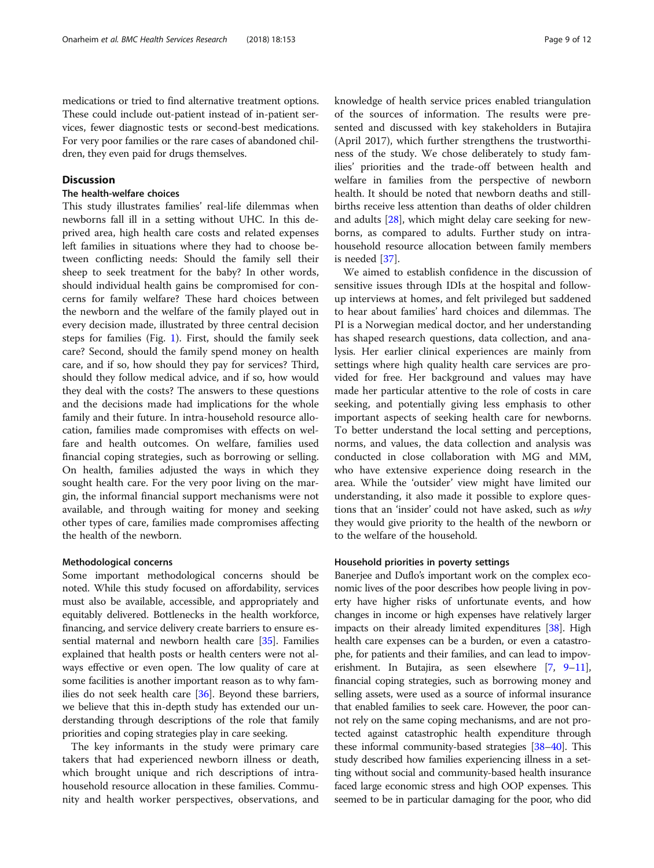medications or tried to find alternative treatment options. These could include out-patient instead of in-patient services, fewer diagnostic tests or second-best medications. For very poor families or the rare cases of abandoned children, they even paid for drugs themselves.

## **Discussion**

#### The health-welfare choices

This study illustrates families' real-life dilemmas when newborns fall ill in a setting without UHC. In this deprived area, high health care costs and related expenses left families in situations where they had to choose between conflicting needs: Should the family sell their sheep to seek treatment for the baby? In other words, should individual health gains be compromised for concerns for family welfare? These hard choices between the newborn and the welfare of the family played out in every decision made, illustrated by three central decision steps for families (Fig. [1](#page-5-0)). First, should the family seek care? Second, should the family spend money on health care, and if so, how should they pay for services? Third, should they follow medical advice, and if so, how would they deal with the costs? The answers to these questions and the decisions made had implications for the whole family and their future. In intra-household resource allocation, families made compromises with effects on welfare and health outcomes. On welfare, families used financial coping strategies, such as borrowing or selling. On health, families adjusted the ways in which they sought health care. For the very poor living on the margin, the informal financial support mechanisms were not available, and through waiting for money and seeking other types of care, families made compromises affecting the health of the newborn.

#### Methodological concerns

Some important methodological concerns should be noted. While this study focused on affordability, services must also be available, accessible, and appropriately and equitably delivered. Bottlenecks in the health workforce, financing, and service delivery create barriers to ensure essential maternal and newborn health care [[35](#page-11-0)]. Families explained that health posts or health centers were not always effective or even open. The low quality of care at some facilities is another important reason as to why families do not seek health care [[36](#page-11-0)]. Beyond these barriers, we believe that this in-depth study has extended our understanding through descriptions of the role that family priorities and coping strategies play in care seeking.

The key informants in the study were primary care takers that had experienced newborn illness or death, which brought unique and rich descriptions of intrahousehold resource allocation in these families. Community and health worker perspectives, observations, and knowledge of health service prices enabled triangulation of the sources of information. The results were presented and discussed with key stakeholders in Butajira (April 2017), which further strengthens the trustworthiness of the study. We chose deliberately to study families' priorities and the trade-off between health and welfare in families from the perspective of newborn health. It should be noted that newborn deaths and stillbirths receive less attention than deaths of older children and adults [[28](#page-11-0)], which might delay care seeking for newborns, as compared to adults. Further study on intrahousehold resource allocation between family members is needed [\[37\]](#page-11-0).

We aimed to establish confidence in the discussion of sensitive issues through IDIs at the hospital and followup interviews at homes, and felt privileged but saddened to hear about families' hard choices and dilemmas. The PI is a Norwegian medical doctor, and her understanding has shaped research questions, data collection, and analysis. Her earlier clinical experiences are mainly from settings where high quality health care services are provided for free. Her background and values may have made her particular attentive to the role of costs in care seeking, and potentially giving less emphasis to other important aspects of seeking health care for newborns. To better understand the local setting and perceptions, norms, and values, the data collection and analysis was conducted in close collaboration with MG and MM, who have extensive experience doing research in the area. While the 'outsider' view might have limited our understanding, it also made it possible to explore questions that an 'insider' could not have asked, such as why they would give priority to the health of the newborn or to the welfare of the household.

#### Household priorities in poverty settings

Banerjee and Duflo's important work on the complex economic lives of the poor describes how people living in poverty have higher risks of unfortunate events, and how changes in income or high expenses have relatively larger impacts on their already limited expenditures [\[38](#page-11-0)]. High health care expenses can be a burden, or even a catastrophe, for patients and their families, and can lead to impoverishment. In Butajira, as seen elsewhere [\[7,](#page-10-0) [9](#page-10-0)–[11](#page-10-0)], financial coping strategies, such as borrowing money and selling assets, were used as a source of informal insurance that enabled families to seek care. However, the poor cannot rely on the same coping mechanisms, and are not protected against catastrophic health expenditure through these informal community-based strategies [[38](#page-11-0)–[40\]](#page-11-0). This study described how families experiencing illness in a setting without social and community-based health insurance faced large economic stress and high OOP expenses. This seemed to be in particular damaging for the poor, who did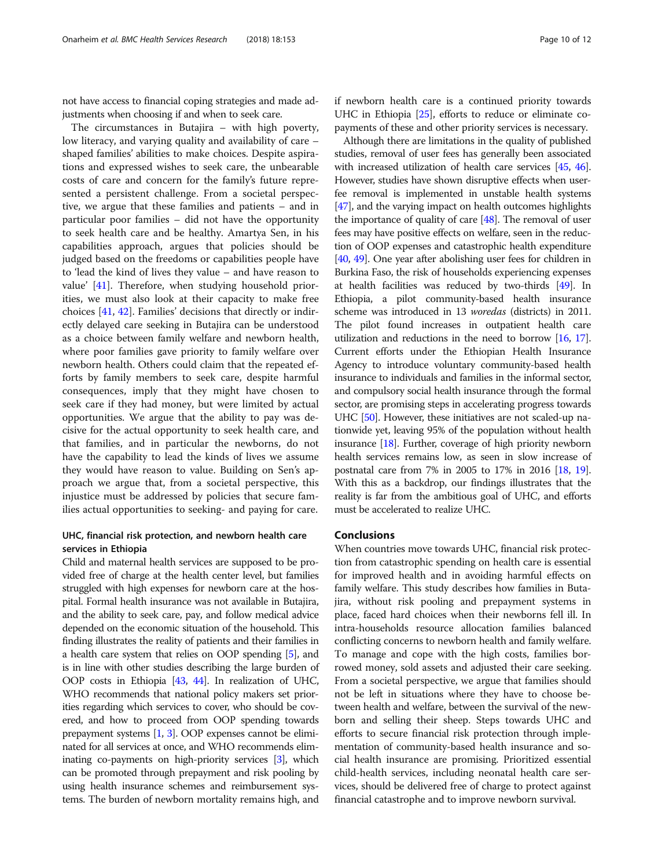not have access to financial coping strategies and made adjustments when choosing if and when to seek care.

The circumstances in Butajira – with high poverty, low literacy, and varying quality and availability of care – shaped families' abilities to make choices. Despite aspirations and expressed wishes to seek care, the unbearable costs of care and concern for the family's future represented a persistent challenge. From a societal perspective, we argue that these families and patients – and in particular poor families – did not have the opportunity to seek health care and be healthy. Amartya Sen, in his capabilities approach, argues that policies should be judged based on the freedoms or capabilities people have to 'lead the kind of lives they value – and have reason to value' [[41](#page-11-0)]. Therefore, when studying household priorities, we must also look at their capacity to make free choices [[41,](#page-11-0) [42](#page-11-0)]. Families' decisions that directly or indirectly delayed care seeking in Butajira can be understood as a choice between family welfare and newborn health, where poor families gave priority to family welfare over newborn health. Others could claim that the repeated efforts by family members to seek care, despite harmful consequences, imply that they might have chosen to seek care if they had money, but were limited by actual opportunities. We argue that the ability to pay was decisive for the actual opportunity to seek health care, and that families, and in particular the newborns, do not have the capability to lead the kinds of lives we assume they would have reason to value. Building on Sen's approach we argue that, from a societal perspective, this injustice must be addressed by policies that secure families actual opportunities to seeking- and paying for care.

## UHC, financial risk protection, and newborn health care services in Ethiopia

Child and maternal health services are supposed to be provided free of charge at the health center level, but families struggled with high expenses for newborn care at the hospital. Formal health insurance was not available in Butajira, and the ability to seek care, pay, and follow medical advice depended on the economic situation of the household. This finding illustrates the reality of patients and their families in a health care system that relies on OOP spending [[5](#page-10-0)], and is in line with other studies describing the large burden of OOP costs in Ethiopia [[43](#page-11-0), [44](#page-11-0)]. In realization of UHC, WHO recommends that national policy makers set priorities regarding which services to cover, who should be covered, and how to proceed from OOP spending towards prepayment systems [[1](#page-10-0), [3\]](#page-10-0). OOP expenses cannot be eliminated for all services at once, and WHO recommends eliminating co-payments on high-priority services [\[3\]](#page-10-0), which can be promoted through prepayment and risk pooling by using health insurance schemes and reimbursement systems. The burden of newborn mortality remains high, and

if newborn health care is a continued priority towards UHC in Ethiopia [[25](#page-11-0)], efforts to reduce or eliminate copayments of these and other priority services is necessary.

Although there are limitations in the quality of published studies, removal of user fees has generally been associated with increased utilization of health care services [\[45,](#page-11-0) [46](#page-11-0)]. However, studies have shown disruptive effects when userfee removal is implemented in unstable health systems [[47](#page-11-0)], and the varying impact on health outcomes highlights the importance of quality of care [[48](#page-11-0)]. The removal of user fees may have positive effects on welfare, seen in the reduction of OOP expenses and catastrophic health expenditure [[40](#page-11-0), [49\]](#page-11-0). One year after abolishing user fees for children in Burkina Faso, the risk of households experiencing expenses at health facilities was reduced by two-thirds [\[49](#page-11-0)]. In Ethiopia, a pilot community-based health insurance scheme was introduced in 13 woredas (districts) in 2011. The pilot found increases in outpatient health care utilization and reductions in the need to borrow [[16](#page-10-0), [17](#page-10-0)]. Current efforts under the Ethiopian Health Insurance Agency to introduce voluntary community-based health insurance to individuals and families in the informal sector, and compulsory social health insurance through the formal sector, are promising steps in accelerating progress towards UHC [[50](#page-11-0)]. However, these initiatives are not scaled-up nationwide yet, leaving 95% of the population without health insurance [\[18\]](#page-10-0). Further, coverage of high priority newborn health services remains low, as seen in slow increase of postnatal care from 7% in 2005 to 17% in 2016 [\[18,](#page-10-0) [19](#page-10-0)]. With this as a backdrop, our findings illustrates that the reality is far from the ambitious goal of UHC, and efforts must be accelerated to realize UHC.

## Conclusions

When countries move towards UHC, financial risk protection from catastrophic spending on health care is essential for improved health and in avoiding harmful effects on family welfare. This study describes how families in Butajira, without risk pooling and prepayment systems in place, faced hard choices when their newborns fell ill. In intra-households resource allocation families balanced conflicting concerns to newborn health and family welfare. To manage and cope with the high costs, families borrowed money, sold assets and adjusted their care seeking. From a societal perspective, we argue that families should not be left in situations where they have to choose between health and welfare, between the survival of the newborn and selling their sheep. Steps towards UHC and efforts to secure financial risk protection through implementation of community-based health insurance and social health insurance are promising. Prioritized essential child-health services, including neonatal health care services, should be delivered free of charge to protect against financial catastrophe and to improve newborn survival.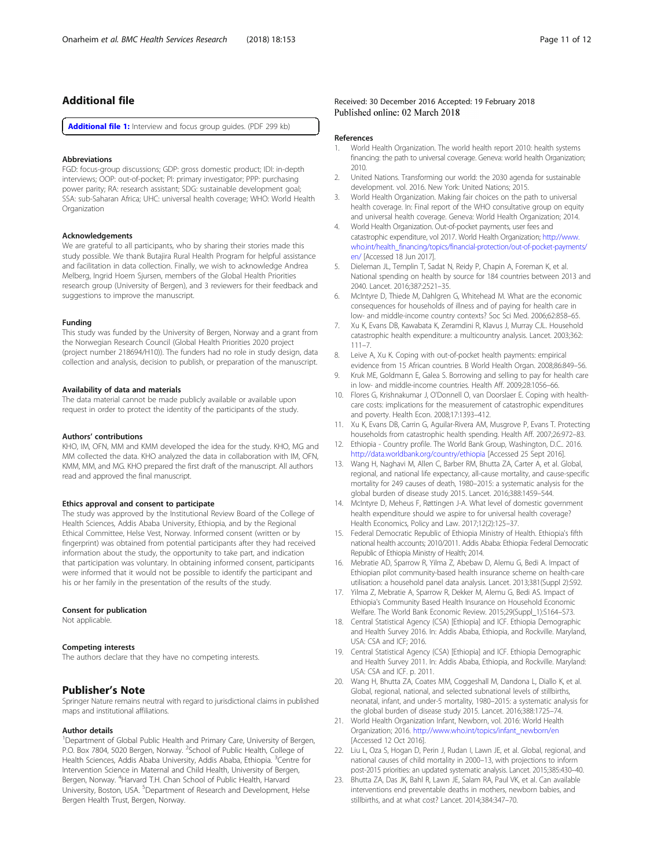## <span id="page-10-0"></span>Additional file

[Additional file 1:](https://doi.org/10.1186/s12913-018-2943-y) Interview and focus group guides. (PDF 299 kb)

#### Abbreviations

FGD: focus-group discussions; GDP: gross domestic product; IDI: in-depth interviews; OOP: out-of-pocket; PI: primary investigator; PPP: purchasing power parity; RA: research assistant; SDG: sustainable development goal; SSA: sub-Saharan Africa; UHC: universal health coverage; WHO: World Health Organization

#### Acknowledgements

We are grateful to all participants, who by sharing their stories made this study possible. We thank Butajira Rural Health Program for helpful assistance and facilitation in data collection. Finally, we wish to acknowledge Andrea Melberg, Ingrid Hoem Sjursen, members of the Global Health Priorities research group (University of Bergen), and 3 reviewers for their feedback and suggestions to improve the manuscript.

#### Funding

This study was funded by the University of Bergen, Norway and a grant from the Norwegian Research Council (Global Health Priorities 2020 project (project number 218694/H10)). The funders had no role in study design, data collection and analysis, decision to publish, or preparation of the manuscript.

#### Availability of data and materials

The data material cannot be made publicly available or available upon request in order to protect the identity of the participants of the study.

#### Authors' contributions

KHO, IM, OFN, MM and KMM developed the idea for the study. KHO, MG and MM collected the data. KHO analyzed the data in collaboration with IM, OFN, KMM, MM, and MG. KHO prepared the first draft of the manuscript. All authors read and approved the final manuscript.

#### Ethics approval and consent to participate

The study was approved by the Institutional Review Board of the College of Health Sciences, Addis Ababa University, Ethiopia, and by the Regional Ethical Committee, Helse Vest, Norway. Informed consent (written or by fingerprint) was obtained from potential participants after they had received information about the study, the opportunity to take part, and indication that participation was voluntary. In obtaining informed consent, participants were informed that it would not be possible to identify the participant and his or her family in the presentation of the results of the study.

#### Consent for publication

Not applicable.

#### Competing interests

The authors declare that they have no competing interests.

#### Publisher's Note

Springer Nature remains neutral with regard to jurisdictional claims in published maps and institutional affiliations.

#### Author details

<sup>1</sup>Department of Global Public Health and Primary Care, University of Bergen, P.O. Box 7804, 5020 Bergen, Norway. <sup>2</sup>School of Public Health, College of Health Sciences, Addis Ababa University, Addis Ababa, Ethiopia. <sup>3</sup>Centre for Intervention Science in Maternal and Child Health, University of Bergen, Bergen, Norway. <sup>4</sup>Harvard T.H. Chan School of Public Health, Harvard University, Boston, USA. <sup>5</sup>Department of Research and Development, Helse Bergen Health Trust, Bergen, Norway.

#### Received: 30 December 2016 Accepted: 19 February 2018 Published online: 02 March 2018

#### References

- 1. World Health Organization. The world health report 2010: health systems financing: the path to universal coverage. Geneva: world health Organization; 2010.
- 2. United Nations. Transforming our world: the 2030 agenda for sustainable development. vol. 2016. New York: United Nations; 2015.
- 3. World Health Organization. Making fair choices on the path to universal health coverage. In: Final report of the WHO consultative group on equity and universal health coverage. Geneva: World Health Organization; 2014.
- 4. World Health Organization. Out-of-pocket payments, user fees and catastrophic expenditure, vol 2017. World Health Organization; [http://www.](http://www.who.int/health_financing/topics/financial-protection/out-of-pocket-payments/en/) [who.int/health\\_financing/topics/financial-protection/out-of-pocket-payments/](http://www.who.int/health_financing/topics/financial-protection/out-of-pocket-payments/en/) [en/](http://www.who.int/health_financing/topics/financial-protection/out-of-pocket-payments/en/) [Accessed 18 Jun 2017].
- 5. Dieleman JL, Templin T, Sadat N, Reidy P, Chapin A, Foreman K, et al. National spending on health by source for 184 countries between 2013 and 2040. Lancet. 2016;387:2521–35.
- 6. McIntyre D, Thiede M, Dahlgren G, Whitehead M. What are the economic consequences for households of illness and of paying for health care in low- and middle-income country contexts? Soc Sci Med. 2006;62:858–65.
- 7. Xu K, Evans DB, Kawabata K, Zeramdini R, Klavus J, Murray CJL. Household catastrophic health expenditure: a multicountry analysis. Lancet. 2003;362: 111–7.
- 8. Leive A, Xu K. Coping with out-of-pocket health payments: empirical evidence from 15 African countries. B World Health Organ. 2008;86:849–56.
- Kruk ME, Goldmann E, Galea S. Borrowing and selling to pay for health care in low- and middle-income countries. Health Aff. 2009;28:1056–66.
- 10. Flores G, Krishnakumar J, O'Donnell O, van Doorslaer E. Coping with healthcare costs: implications for the measurement of catastrophic expenditures and poverty. Health Econ. 2008;17:1393–412.
- 11. Xu K, Evans DB, Carrin G, Aguilar-Rivera AM, Musgrove P, Evans T. Protecting households from catastrophic health spending. Health Aff. 2007;26:972–83.
- 12. Ethiopia Country profile. The World Bank Group, Washington, D.C.. 2016. <http://data.worldbank.org/country/ethiopia> [Accessed 25 Sept 2016].
- 13. Wang H, Naghavi M, Allen C, Barber RM, Bhutta ZA, Carter A, et al. Global, regional, and national life expectancy, all-cause mortality, and cause-specific mortality for 249 causes of death, 1980–2015: a systematic analysis for the global burden of disease study 2015. Lancet. 2016;388:1459–544.
- 14. McIntyre D, Meheus F, Røttingen J-A. What level of domestic government health expenditure should we aspire to for universal health coverage? Health Economics, Policy and Law. 2017;12(2):125–37.
- 15. Federal Democratic Republic of Ethiopia Ministry of Health. Ethiopia's fifth national health accounts; 2010/2011. Addis Ababa: Ethiopia: Federal Democratic Republic of Ethiopia Ministry of Health; 2014.
- 16. Mebratie AD, Sparrow R, Yilma Z, Abebaw D, Alemu G, Bedi A. Impact of Ethiopian pilot community-based health insurance scheme on health-care utilisation: a household panel data analysis. Lancet. 2013;381(Suppl 2):S92.
- 17. Yilma Z, Mebratie A, Sparrow R, Dekker M, Alemu G, Bedi AS. Impact of Ethiopia's Community Based Health Insurance on Household Economic Welfare. The World Bank Economic Review. 2015;29(Suppl\_1):S164–S73.
- 18. Central Statistical Agency (CSA) [Ethiopia] and ICF. Ethiopia Demographic and Health Survey 2016. In: Addis Ababa, Ethiopia, and Rockville. Maryland, USA: CSA and ICF; 2016.
- 19. Central Statistical Agency (CSA) [Ethiopia] and ICF. Ethiopia Demographic and Health Survey 2011. In: Addis Ababa, Ethiopia, and Rockville. Maryland: USA: CSA and ICF. p. 2011.
- 20. Wang H, Bhutta ZA, Coates MM, Coggeshall M, Dandona L, Diallo K, et al. Global, regional, national, and selected subnational levels of stillbirths, neonatal, infant, and under-5 mortality, 1980–2015: a systematic analysis for the global burden of disease study 2015. Lancet. 2016;388:1725–74.
- 21. World Health Organization Infant, Newborn, vol. 2016: World Health Organization; 2016. [http://www.who.int/topics/infant\\_newborn/en](http://www.who.int/topics/infant_newborn/en) [Accessed 12 Oct 2016].
- 22. Liu L, Oza S, Hogan D, Perin J, Rudan I, Lawn JE, et al. Global, regional, and national causes of child mortality in 2000–13, with projections to inform post-2015 priorities: an updated systematic analysis. Lancet. 2015;385:430–40.
- 23. Bhutta ZA, Das JK, Bahl R, Lawn JE, Salam RA, Paul VK, et al. Can available interventions end preventable deaths in mothers, newborn babies, and stillbirths, and at what cost? Lancet. 2014;384:347–70.